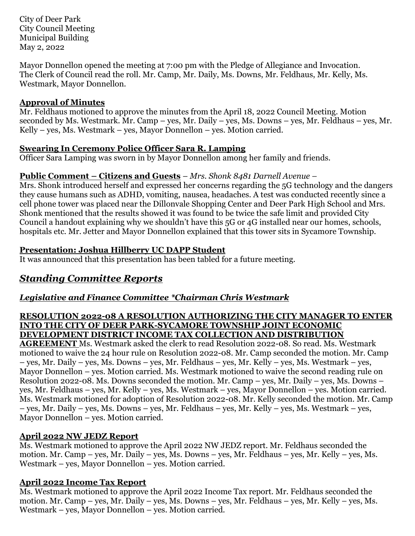City of Deer Park City Council Meeting Municipal Building May 2, 2022

Mayor Donnellon opened the meeting at 7:00 pm with the Pledge of Allegiance and Invocation. The Clerk of Council read the roll. Mr. Camp, Mr. Daily, Ms. Downs, Mr. Feldhaus, Mr. Kelly, Ms. Westmark, Mayor Donnellon.

#### **Approval of Minutes**

Mr. Feldhaus motioned to approve the minutes from the April 18, 2022 Council Meeting. Motion seconded by Ms. Westmark. Mr. Camp – yes, Mr. Daily – yes, Ms. Downs – yes, Mr. Feldhaus – yes, Mr. Kelly – yes, Ms. Westmark – yes, Mayor Donnellon – yes. Motion carried.

### **Swearing In Ceremony Police Officer Sara R. Lamping**

Officer Sara Lamping was sworn in by Mayor Donnellon among her family and friends.

### **Public Comment – Citizens and Guests** – *Mrs. Shonk 8481 Darnell Avenue –*

Mrs. Shonk introduced herself and expressed her concerns regarding the 5G technology and the dangers they cause humans such as ADHD, vomiting, nausea, headaches. A test was conducted recently since a cell phone tower was placed near the Dillonvale Shopping Center and Deer Park High School and Mrs. Shonk mentioned that the results showed it was found to be twice the safe limit and provided City Council a handout explaining why we shouldn't have this 5G or 4G installed near our homes, schools, hospitals etc. Mr. Jetter and Mayor Donnellon explained that this tower sits in Sycamore Township.

### **Presentation: Joshua Hillberry UC DAPP Student**

It was announced that this presentation has been tabled for a future meeting.

# *Standing Committee Reports*

# *Legislative and Finance Committee \*Chairman Chris Westmark*

#### **RESOLUTION 2022-08 A RESOLUTION AUTHORIZING THE CITY MANAGER TO ENTER INTO THE CITY OF DEER PARK-SYCAMORE TOWNSHIP JOINT ECONOMIC DEVELOPMENT DISTRICT INCOME TAX COLLECTION AND DISTRIBUTION**

**AGREEMENT** Ms. Westmark asked the clerk to read Resolution 2022-08. So read. Ms. Westmark motioned to waive the 24 hour rule on Resolution 2022-08. Mr. Camp seconded the motion. Mr. Camp – yes, Mr. Daily – yes, Ms. Downs – yes, Mr. Feldhaus – yes, Mr. Kelly – yes, Ms. Westmark – yes, Mayor Donnellon – yes. Motion carried. Ms. Westmark motioned to waive the second reading rule on Resolution 2022-08. Ms. Downs seconded the motion. Mr. Camp – yes, Mr. Daily – yes, Ms. Downs – yes, Mr. Feldhaus – yes, Mr. Kelly – yes, Ms. Westmark – yes, Mayor Donnellon – yes. Motion carried. Ms. Westmark motioned for adoption of Resolution 2022-08. Mr. Kelly seconded the motion. Mr. Camp – yes, Mr. Daily – yes, Ms. Downs – yes, Mr. Feldhaus – yes, Mr. Kelly – yes, Ms. Westmark – yes, Mayor Donnellon – yes. Motion carried.

# **April 2022 NW JEDZ Report**

Ms. Westmark motioned to approve the April 2022 NW JEDZ report. Mr. Feldhaus seconded the motion. Mr. Camp – yes, Mr. Daily – yes, Ms. Downs – yes, Mr. Feldhaus – yes, Mr. Kelly – yes, Ms. Westmark – yes, Mayor Donnellon – yes. Motion carried.

# **April 2022 Income Tax Report**

Ms. Westmark motioned to approve the April 2022 Income Tax report. Mr. Feldhaus seconded the motion. Mr. Camp – yes, Mr. Daily – yes, Ms. Downs – yes, Mr. Feldhaus – yes, Mr. Kelly – yes, Ms. Westmark – yes, Mayor Donnellon – yes. Motion carried.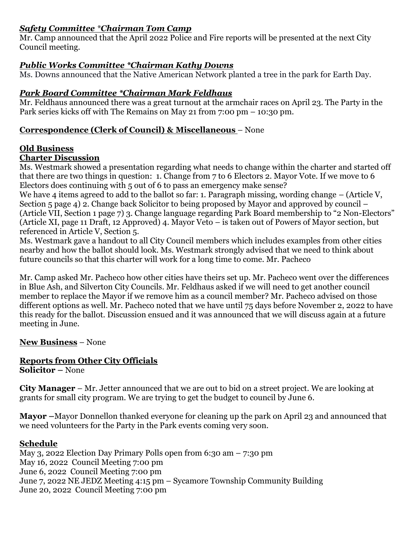### *Safety Committee \*Chairman Tom Camp*

Mr. Camp announced that the April 2022 Police and Fire reports will be presented at the next City Council meeting.

# *Public Works Committee \*Chairman Kathy Downs*

Ms. Downs announced that the Native American Network planted a tree in the park for Earth Day.

# *Park Board Committee \*Chairman Mark Feldhaus*

Mr. Feldhaus announced there was a great turnout at the armchair races on April 23. The Party in the Park series kicks off with The Remains on May 21 from 7:00 pm – 10:30 pm.

## **Correspondence (Clerk of Council) & Miscellaneous** – None

### **Old Business**

### **Charter Discussion**

Ms. Westmark showed a presentation regarding what needs to change within the charter and started off that there are two things in question: 1. Change from 7 to 6 Electors 2. Mayor Vote. If we move to 6 Electors does continuing with 5 out of 6 to pass an emergency make sense?

We have 4 items agreed to add to the ballot so far: 1. Paragraph missing, wording change – (Article V, Section 5 page 4) 2. Change back Solicitor to being proposed by Mayor and approved by council – (Article VII, Section 1 page 7) 3. Change language regarding Park Board membership to "2 Non-Electors" (Article XI, page 11 Draft, 12 Approved) 4. Mayor Veto – is taken out of Powers of Mayor section, but referenced in Article V, Section 5.

Ms. Westmark gave a handout to all City Council members which includes examples from other cities nearby and how the ballot should look. Ms. Westmark strongly advised that we need to think about future councils so that this charter will work for a long time to come. Mr. Pacheco

Mr. Camp asked Mr. Pacheco how other cities have theirs set up. Mr. Pacheco went over the differences in Blue Ash, and Silverton City Councils. Mr. Feldhaus asked if we will need to get another council member to replace the Mayor if we remove him as a council member? Mr. Pacheco advised on those different options as well. Mr. Pacheco noted that we have until 75 days before November 2, 2022 to have this ready for the ballot. Discussion ensued and it was announced that we will discuss again at a future meeting in June.

## **New Business** – None

# **Reports from Other City Officials**

**Solicitor –** None

**City Manager** – Mr. Jetter announced that we are out to bid on a street project. We are looking at grants for small city program. We are trying to get the budget to council by June 6.

**Mayor –**Mayor Donnellon thanked everyone for cleaning up the park on April 23 and announced that we need volunteers for the Party in the Park events coming very soon.

## **Schedule**

May 3, 2022 Election Day Primary Polls open from 6:30 am – 7:30 pm May 16, 2022 Council Meeting 7:00 pm June 6, 2022 Council Meeting 7:00 pm June 7, 2022 NE JEDZ Meeting 4:15 pm – Sycamore Township Community Building June 20, 2022 Council Meeting 7:00 pm